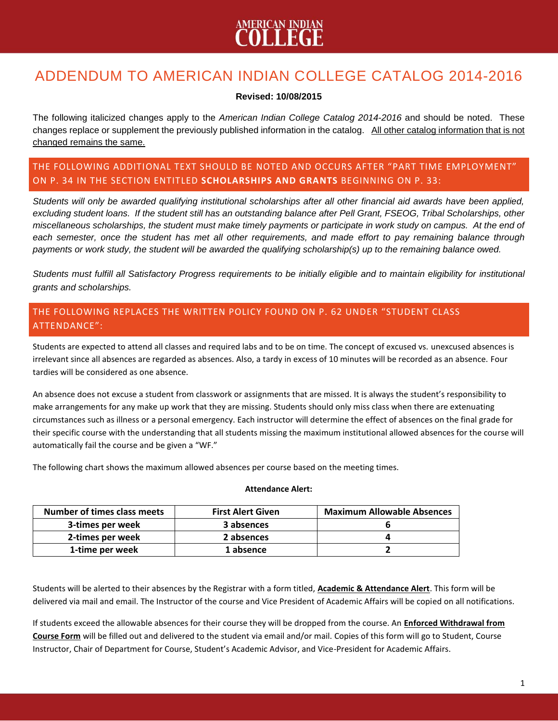### ADDENDUM TO AMERICAN INDIAN COLLEGE CATALOG 2014-2016

#### **Revised: 10/08/2015**

The following italicized changes apply to the *American Indian College Catalog 2014-2016* and should be noted. These changes replace or supplement the previously published information in the catalog. All other catalog information that is not changed remains the same.

#### THE FOLLOWING ADDITIONAL TEXT SHOULD BE NOTED AND OCCURS AFTER "PART TIME EMPLOYMENT" ON P. 34 IN THE SECTION ENTITLED **SCHOLARSHIPS AND GRANTS** BEGINNING ON P. 33:

*Students will only be awarded qualifying institutional scholarships after all other financial aid awards have been applied, excluding student loans. If the student still has an outstanding balance after Pell Grant, FSEOG, Tribal Scholarships, other miscellaneous scholarships, the student must make timely payments or participate in work study on campus. At the end of each semester, once the student has met all other requirements, and made effort to pay remaining balance through payments or work study, the student will be awarded the qualifying scholarship(s) up to the remaining balance owed.*

*Students must fulfill all Satisfactory Progress requirements to be initially eligible and to maintain eligibility for institutional grants and scholarships.*

### THE FOLLOWING REPLACES THE WRITTEN POLICY FOUND ON P. 62 UNDER "STUDENT CLASS ATTENDANCE":

Students are expected to attend all classes and required labs and to be on time. The concept of excused vs. unexcused absences is irrelevant since all absences are regarded as absences. Also, a tardy in excess of 10 minutes will be recorded as an absence. Four tardies will be considered as one absence.

An absence does not excuse a student from classwork or assignments that are missed. It is always the student's responsibility to make arrangements for any make up work that they are missing. Students should only miss class when there are extenuating circumstances such as illness or a personal emergency. Each instructor will determine the effect of absences on the final grade for their specific course with the understanding that all students missing the maximum institutional allowed absences for the course will automatically fail the course and be given a "WF."

The following chart shows the maximum allowed absences per course based on the meeting times.

#### **Attendance Alert:**

| <b>Number of times class meets</b> | <b>First Alert Given</b> | <b>Maximum Allowable Absences</b> |
|------------------------------------|--------------------------|-----------------------------------|
| 3-times per week                   | 3 absences               |                                   |
| 2-times per week                   | 2 absences               |                                   |
| 1-time per week                    | 1 absence                |                                   |

Students will be alerted to their absences by the Registrar with a form titled, **Academic & Attendance Alert**. This form will be delivered via mail and email. The Instructor of the course and Vice President of Academic Affairs will be copied on all notifications.

If students exceed the allowable absences for their course they will be dropped from the course. An **Enforced Withdrawal from Course Form** will be filled out and delivered to the student via email and/or mail. Copies of this form will go to Student, Course Instructor, Chair of Department for Course, Student's Academic Advisor, and Vice-President for Academic Affairs.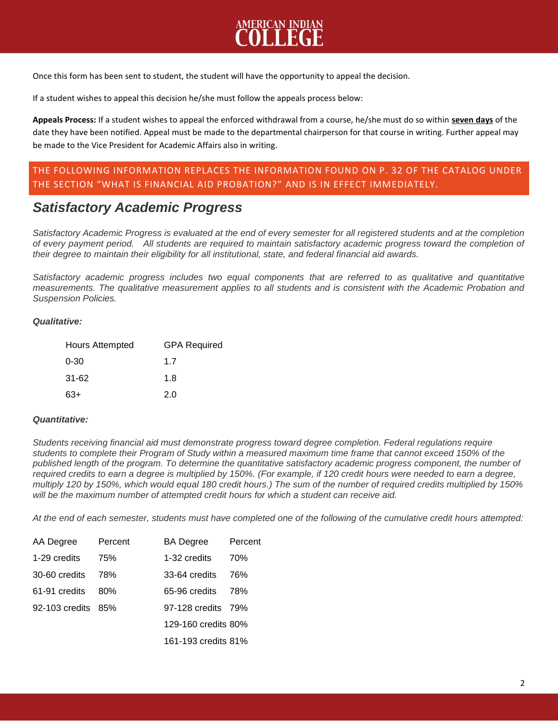# **MERICAN INDIAN**

Once this form has been sent to student, the student will have the opportunity to appeal the decision.

If a student wishes to appeal this decision he/she must follow the appeals process below:

**Appeals Process:** If a student wishes to appeal the enforced withdrawal from a course, he/she must do so within **seven days** of the date they have been notified. Appeal must be made to the departmental chairperson for that course in writing. Further appeal may be made to the Vice President for Academic Affairs also in writing.

#### THE FOLLOWING INFORMATION REPLACES THE INFORMATION FOUND ON P. 32 OF THE CATALOG UNDER THE SECTION "WHAT IS FINANCIAL AID PROBATION?" AND IS IN EFFECT IMMEDIATELY.

### *Satisfactory Academic Progress*

*Satisfactory Academic Progress is evaluated at the end of every semester for all registered students and at the completion of every payment period. All students are required to maintain satisfactory academic progress toward the completion of their degree to maintain their eligibility for all institutional, state, and federal financial aid awards.*

*Satisfactory academic progress includes two equal components that are referred to as qualitative and quantitative measurements. The qualitative measurement applies to all students and is consistent with the Academic Probation and Suspension Policies.*

#### *Qualitative:*

| <b>Hours Attempted</b> | <b>GPA Required</b> |  |
|------------------------|---------------------|--|
| $0 - 30$               | 1.7                 |  |
| $31 - 62$              | 1.8                 |  |
| 63+                    | 2.0                 |  |

#### *Quantitative:*

*Students receiving financial aid must demonstrate progress toward degree completion. Federal regulations require students to complete their Program of Study within a measured maximum time frame that cannot exceed 150% of the published length of the program. To determine the quantitative satisfactory academic progress component, the number of*  required credits to earn a degree is multiplied by 150%. (For example, if 120 credit hours were needed to earn a degree, *multiply 120 by 150%, which would equal 180 credit hours.) The sum of the number of required credits multiplied by 150% will be the maximum number of attempted credit hours for which a student can receive aid.*

*At the end of each semester, students must have completed one of the following of the cumulative credit hours attempted:*

| AA Degree          | Percent | BA Degree           | Percent |
|--------------------|---------|---------------------|---------|
| 1-29 credits       | 75%     | 1-32 credits        | 70%     |
| 30-60 credits      | 78%     | 33-64 credits       | 76%     |
| 61-91 credits      | 80%     | 65-96 credits       | 78%     |
| 92-103 credits 85% |         | 97-128 credits 79%  |         |
|                    |         | 129-160 credits 80% |         |
|                    |         | 161-193 credits 81% |         |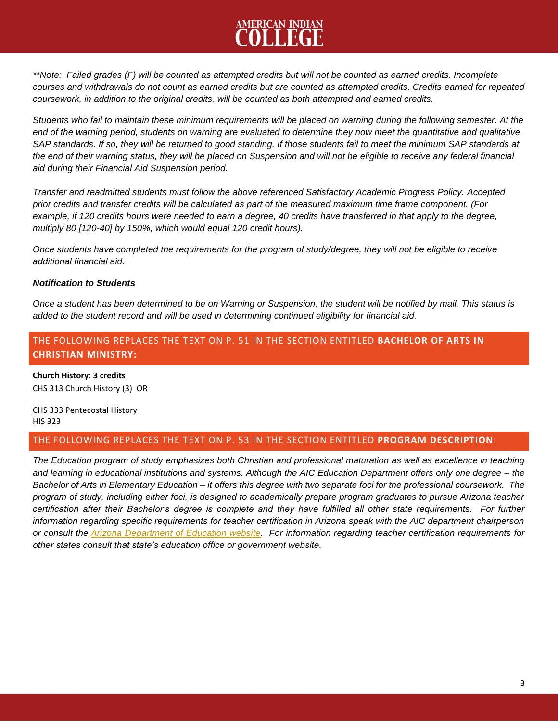# <u>MERICAN INDIAN</u>

*\*\*Note: Failed grades (F) will be counted as attempted credits but will not be counted as earned credits. Incomplete courses and withdrawals do not count as earned credits but are counted as attempted credits. Credits earned for repeated coursework, in addition to the original credits, will be counted as both attempted and earned credits.*

*Students who fail to maintain these minimum requirements will be placed on warning during the following semester. At the end of the warning period, students on warning are evaluated to determine they now meet the quantitative and qualitative SAP standards. If so, they will be returned to good standing. If those students fail to meet the minimum SAP standards at the end of their warning status, they will be placed on Suspension and will not be eligible to receive any federal financial aid during their Financial Aid Suspension period.*

*Transfer and readmitted students must follow the above referenced Satisfactory Academic Progress Policy. Accepted prior credits and transfer credits will be calculated as part of the measured maximum time frame component. (For*  example, if 120 credits hours were needed to earn a degree, 40 credits have transferred in that apply to the degree, *multiply 80 [120-40] by 150%, which would equal 120 credit hours).*

*Once students have completed the requirements for the program of study/degree, they will not be eligible to receive additional financial aid.*

#### *Notification to Students*

*Once a student has been determined to be on Warning or Suspension, the student will be notified by mail. This status is added to the student record and will be used in determining continued eligibility for financial aid.*

#### THE FOLLOWING REPLACES THE TEXT ON P. 51 IN THE SECTION ENTITLED **BACHELOR OF ARTS IN CHRISTIAN MINISTRY:**

**Church History: 3 credits**  CHS 313 Church History (3) OR

#### CHS 333 Pentecostal History HIS 323

#### THE FOLLOWING REPLACES THE TEXT ON P. 53 IN THE SECTION ENTITLED **PROGRAM DESCRIPTION**:

*The Education program of study emphasizes both Christian and professional maturation as well as excellence in teaching and learning in educational institutions and systems. Although the AIC Education Department offers only one degree – the Bachelor of Arts in Elementary Education – it offers this degree with two separate foci for the professional coursework. The program of study, including either foci, is designed to academically prepare program graduates to pursue Arizona teacher certification after their Bachelor's degree is complete and they have fulfilled all other state requirements. For further information regarding specific requirements for teacher certification in Arizona speak with the AIC department chairperson or consult the [Arizona Department of Education website.](http://www.aicag.edu/academics/programs/elementary-education/www.azed.gov) For information regarding teacher certification requirements for other states consult that state's education office or government website.*